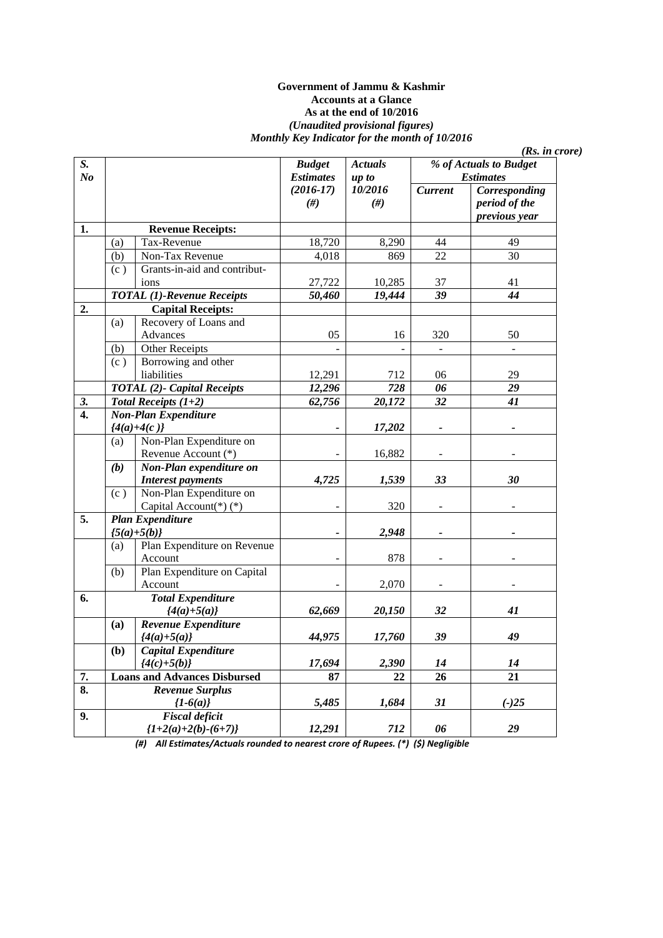#### **Government of Jammu & Kashmir Accounts at a Glance As at the end of 10/2016**  *(Unaudited provisional figures) Monthly Key Indicator for the month of 10/2016*

| <b>Estimates</b><br>Corresponding<br>period of the<br>previous year<br>49 |
|---------------------------------------------------------------------------|
|                                                                           |
|                                                                           |
|                                                                           |
|                                                                           |
|                                                                           |
|                                                                           |
| $\overline{30}$                                                           |
|                                                                           |
| 41                                                                        |
| 44                                                                        |
|                                                                           |
|                                                                           |
| 50                                                                        |
|                                                                           |
|                                                                           |
| 29                                                                        |
| 29                                                                        |
| 41                                                                        |
|                                                                           |
|                                                                           |
|                                                                           |
|                                                                           |
|                                                                           |
| 30                                                                        |
|                                                                           |
|                                                                           |
|                                                                           |
|                                                                           |
|                                                                           |
|                                                                           |
|                                                                           |
|                                                                           |
|                                                                           |
| 41                                                                        |
|                                                                           |
| 49                                                                        |
|                                                                           |
| 14                                                                        |
| 21                                                                        |
|                                                                           |
| $(-)25$                                                                   |
|                                                                           |
| 29                                                                        |
|                                                                           |

*(Rs. in crore)* 

*(#) All Estimates/Actuals rounded to nearest crore of Rupees. (\*) (\$) Negligible*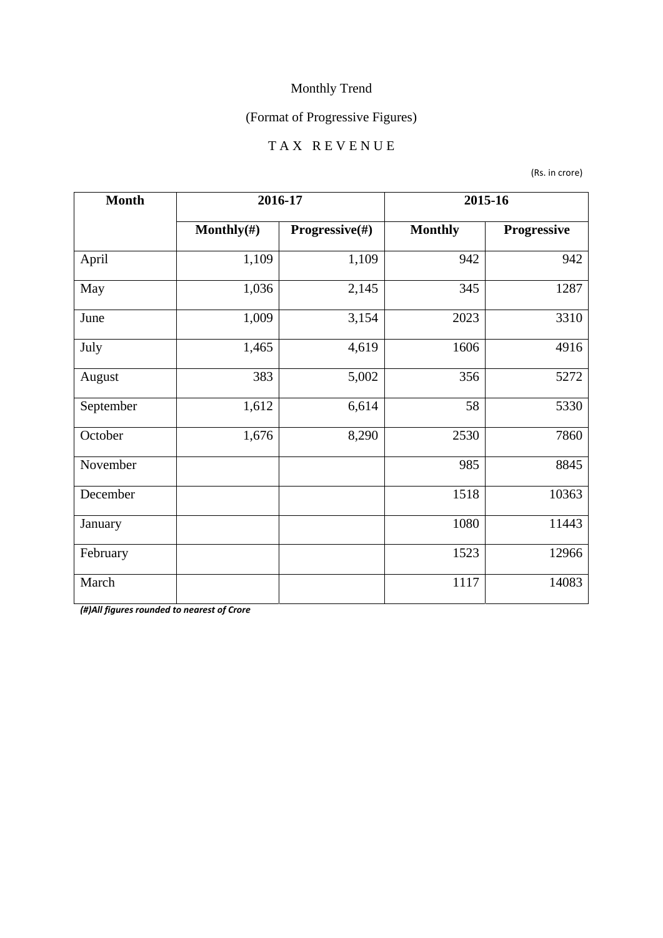# (Format of Progressive Figures)

#### T A X R E V E N U E

(Rs. in crore)

| <b>Month</b> | 2016-17        |                | 2015-16        |             |
|--------------|----------------|----------------|----------------|-------------|
|              | Monthly $(\#)$ | Progressive(#) | <b>Monthly</b> | Progressive |
| April        | 1,109          | 1,109          | 942            | 942         |
| May          | 1,036          | 2,145          | 345            | 1287        |
| June         | 1,009          | 3,154          | 2023           | 3310        |
| July         | 1,465          | 4,619          | 1606           | 4916        |
| August       | 383            | 5,002          | 356            | 5272        |
| September    | 1,612          | 6,614          | 58             | 5330        |
| October      | 1,676          | 8,290          | 2530           | 7860        |
| November     |                |                | 985            | 8845        |
| December     |                |                | 1518           | 10363       |
| January      |                |                | 1080           | 11443       |
| February     |                |                | 1523           | 12966       |
| March        |                |                | 1117           | 14083       |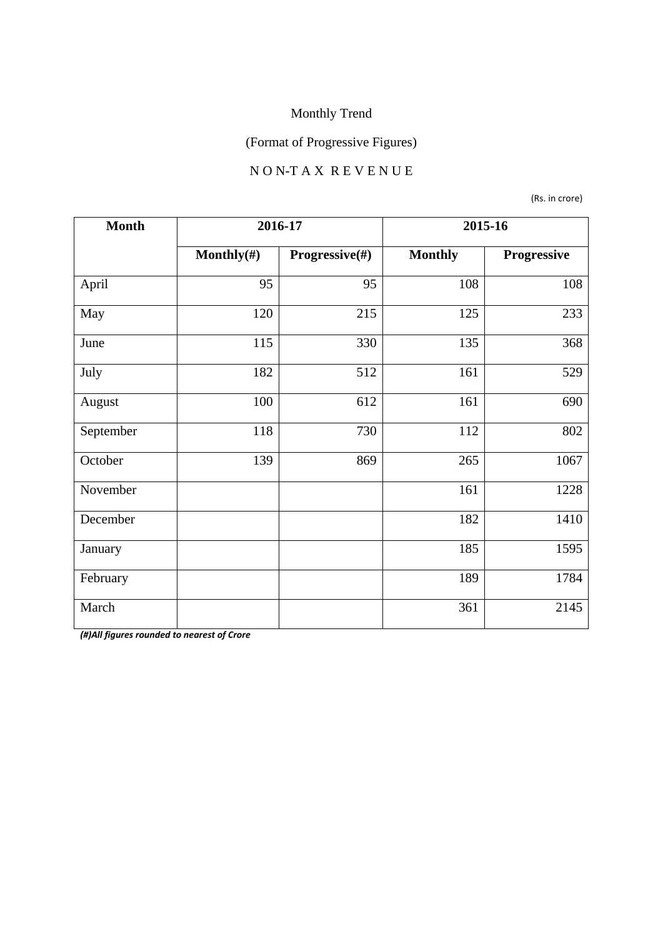# (Format of Progressive Figures)

#### N O N-T A X R E V E N U E

(Rs. in crore)

| <b>Month</b> | 2016-17        |                | 2015-16        |             |
|--------------|----------------|----------------|----------------|-------------|
|              | Monthly $(\#)$ | Progressive(#) | <b>Monthly</b> | Progressive |
| April        | 95             | 95             | 108            | 108         |
| May          | 120            | 215            | 125            | 233         |
| June         | 115            | 330            | 135            | 368         |
| July         | 182            | 512            | 161            | 529         |
| August       | 100            | 612            | 161            | 690         |
| September    | 118            | 730            | 112            | 802         |
| October      | 139            | 869            | 265            | 1067        |
| November     |                |                | 161            | 1228        |
| December     |                |                | 182            | 1410        |
| January      |                |                | 185            | 1595        |
| February     |                |                | 189            | 1784        |
| March        |                |                | 361            | 2145        |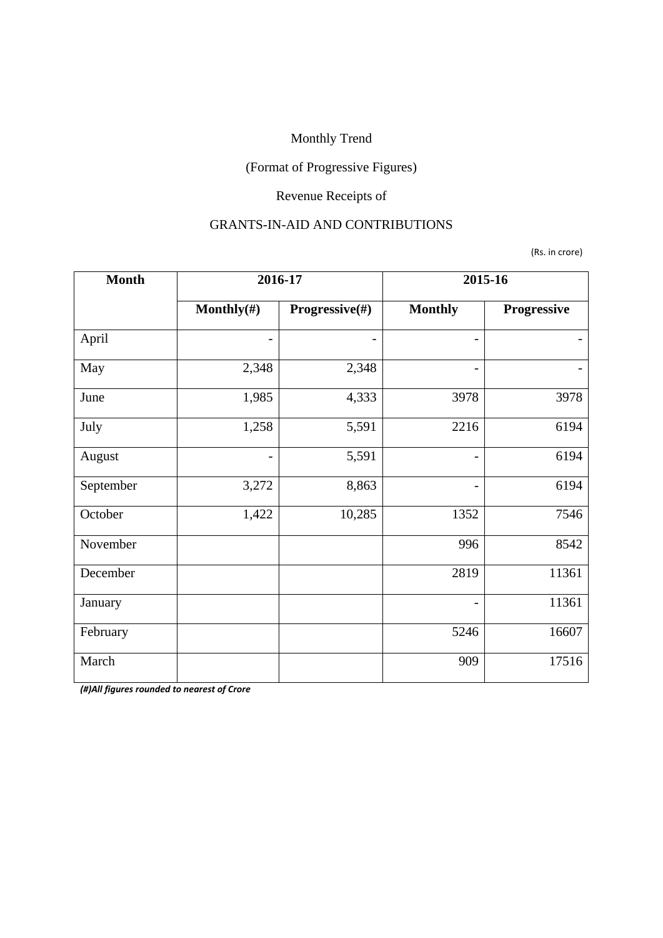## (Format of Progressive Figures)

# Revenue Receipts of

#### GRANTS-IN-AID AND CONTRIBUTIONS

(Rs. in crore)

| <b>Month</b> | 2016-17           |                | 2015-16                  |             |
|--------------|-------------------|----------------|--------------------------|-------------|
|              | Monthly $(\#)$    | Progressive(#) | <b>Monthly</b>           | Progressive |
| April        |                   |                | $\overline{\phantom{0}}$ |             |
| May          | 2,348             | 2,348          |                          |             |
| June         | 1,985             | 4,333          | 3978                     | 3978        |
| July         | 1,258             | 5,591          | 2216                     | 6194        |
| August       | $\qquad \qquad -$ | 5,591          | $\overline{\phantom{a}}$ | 6194        |
| September    | 3,272             | 8,863          |                          | 6194        |
| October      | 1,422             | 10,285         | 1352                     | 7546        |
| November     |                   |                | 996                      | 8542        |
| December     |                   |                | 2819                     | 11361       |
| January      |                   |                | $\overline{\phantom{0}}$ | 11361       |
| February     |                   |                | 5246                     | 16607       |
| March        |                   |                | 909                      | 17516       |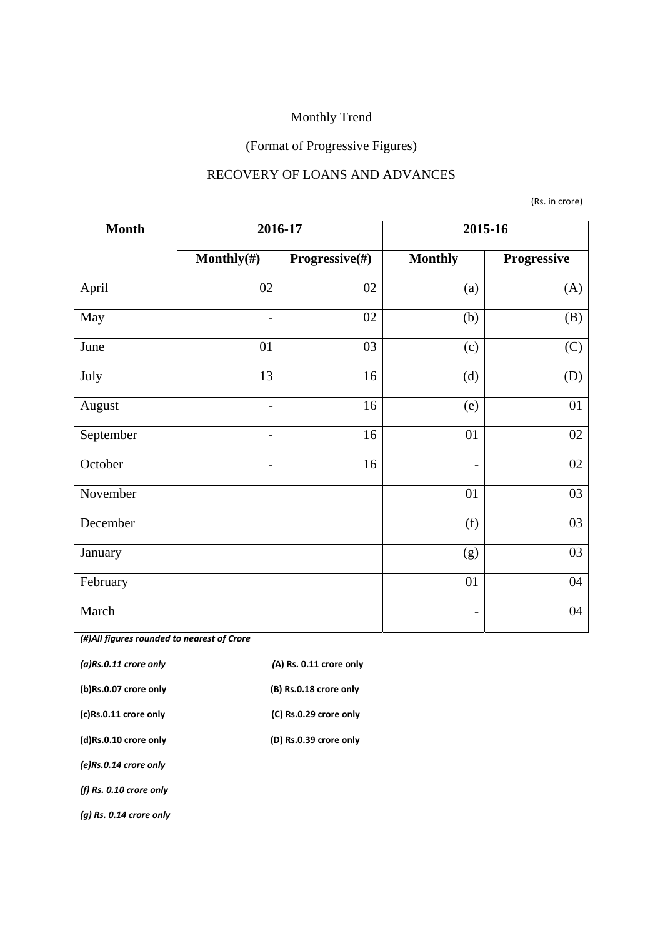# (Format of Progressive Figures)

#### RECOVERY OF LOANS AND ADVANCES

(Rs. in crore)

| <b>Month</b> | 2016-17                  |                |                          | 2015-16     |
|--------------|--------------------------|----------------|--------------------------|-------------|
|              | Monthly $(\#)$           | Progressive(#) | <b>Monthly</b>           | Progressive |
| April        | 02                       | 02             | (a)                      | (A)         |
| May          | $\overline{\phantom{a}}$ | 02             | (b)                      | (B)         |
| June         | 01                       | 03             | (c)                      | (C)         |
| July         | 13                       | 16             | (d)                      | (D)         |
| August       | $\overline{\phantom{a}}$ | 16             | (e)                      | 01          |
| September    | $\overline{\phantom{a}}$ | 16             | 01                       | 02          |
| October      | $\overline{\phantom{a}}$ | 16             | $\overline{\phantom{0}}$ | 02          |
| November     |                          |                | 01                       | 03          |
| December     |                          |                | (f)                      | 03          |
| January      |                          |                | (g)                      | 03          |
| February     |                          |                | 01                       | 04          |
| March        |                          |                | $\overline{\phantom{a}}$ | 04          |

| $(a)$ Rs.0.11 crore only  | (A) Rs. 0.11 crore only |
|---------------------------|-------------------------|
| (b)Rs.0.07 crore only     | (B) Rs.0.18 crore only  |
| (c)Rs.0.11 crore only     | (C) Rs.0.29 crore only  |
| (d)Rs.0.10 crore only     | (D) Rs.0.39 crore only  |
| (e)Rs.0.14 crore only     |                         |
| (f) $Rs. 0.10$ crore only |                         |
| $(q)$ Rs. 0.14 crore only |                         |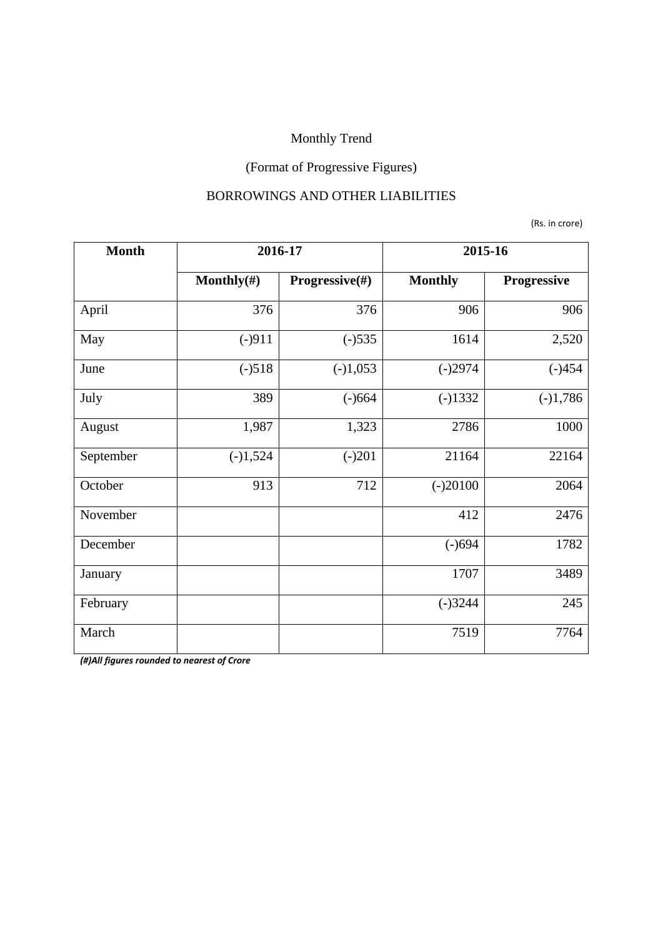# (Format of Progressive Figures)

#### BORROWINGS AND OTHER LIABILITIES

(Rs. in crore)

| <b>Month</b> | 2016-17        |                | 2015-16        |             |
|--------------|----------------|----------------|----------------|-------------|
|              | Monthly $(\#)$ | Progressive(#) | <b>Monthly</b> | Progressive |
| April        | 376            | 376            | 906            | 906         |
| May          | $(-)911$       | $(-)535$       | 1614           | 2,520       |
| June         | $(-)518$       | $(-)1,053$     | $(-)2974$      | $(-)454$    |
| July         | 389            | $(-)664$       | $(-)1332$      | $(-)1,786$  |
| August       | 1,987          | 1,323          | 2786           | 1000        |
| September    | $(-)1,524$     | $(-)201$       | 21164          | 22164       |
| October      | 913            | 712            | $(-)20100$     | 2064        |
| November     |                |                | 412            | 2476        |
| December     |                |                | $(-)694$       | 1782        |
| January      |                |                | 1707           | 3489        |
| February     |                |                | $(-)3244$      | 245         |
| March        |                |                | 7519           | 7764        |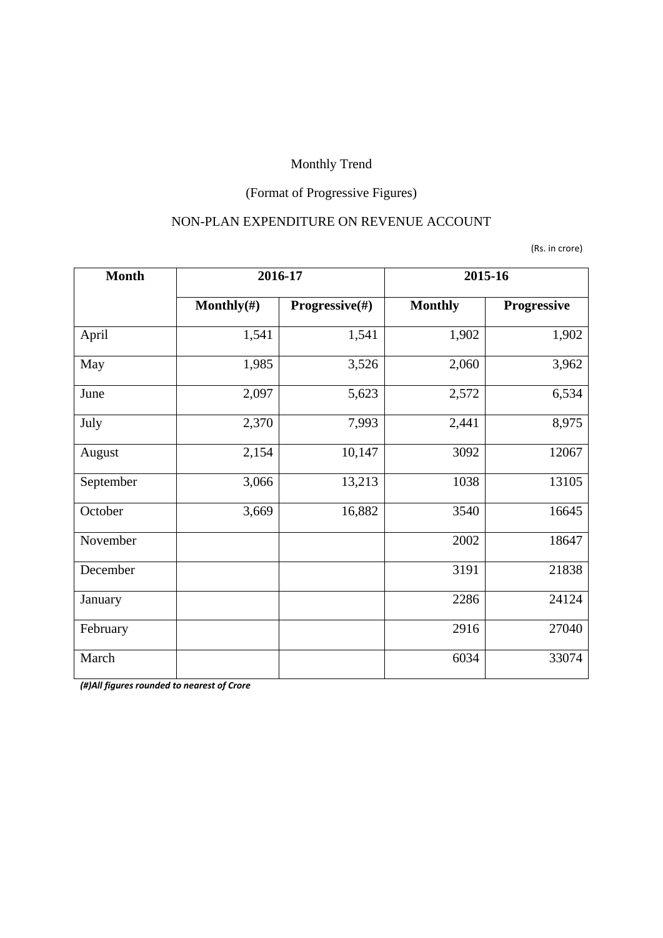# (Format of Progressive Figures)

#### NON-PLAN EXPENDITURE ON REVENUE ACCOUNT

(Rs. in crore)

| <b>Month</b> | 2016-17        |                | 2015-16        |             |
|--------------|----------------|----------------|----------------|-------------|
|              | Monthly $(\#)$ | Progressive(#) | <b>Monthly</b> | Progressive |
| April        | 1,541          | 1,541          | 1,902          | 1,902       |
| May          | 1,985          | 3,526          | 2,060          | 3,962       |
| June         | 2,097          | 5,623          | 2,572          | 6,534       |
| July         | 2,370          | 7,993          | 2,441          | 8,975       |
| August       | 2,154          | 10,147         | 3092           | 12067       |
| September    | 3,066          | 13,213         | 1038           | 13105       |
| October      | 3,669          | 16,882         | 3540           | 16645       |
| November     |                |                | 2002           | 18647       |
| December     |                |                | 3191           | 21838       |
| January      |                |                | 2286           | 24124       |
| February     |                |                | 2916           | 27040       |
| March        |                |                | 6034           | 33074       |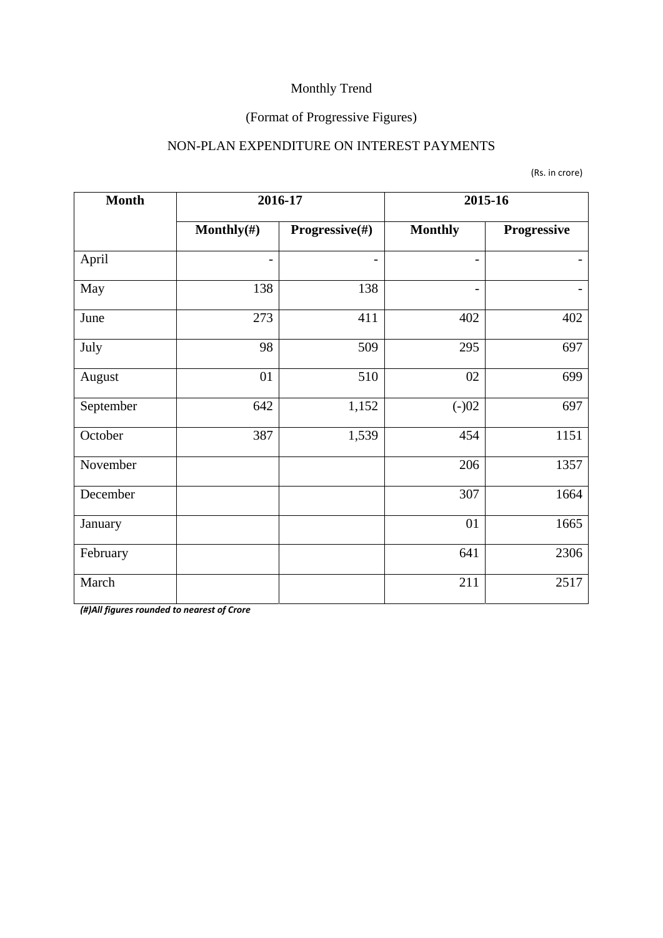## (Format of Progressive Figures)

#### NON-PLAN EXPENDITURE ON INTEREST PAYMENTS

(Rs. in crore)

| <b>Month</b> | 2016-17        |                |                          | 2015-16     |
|--------------|----------------|----------------|--------------------------|-------------|
|              | Monthly $(\#)$ | Progressive(#) | <b>Monthly</b>           | Progressive |
| April        |                |                | $\overline{\phantom{0}}$ |             |
| May          | 138            | 138            | $\overline{\phantom{0}}$ |             |
| June         | 273            | 411            | 402                      | 402         |
| July         | 98             | 509            | 295                      | 697         |
| August       | 01             | 510            | 02                       | 699         |
| September    | 642            | 1,152          | $(-)02$                  | 697         |
| October      | 387            | 1,539          | 454                      | 1151        |
| November     |                |                | 206                      | 1357        |
| December     |                |                | 307                      | 1664        |
| January      |                |                | 01                       | 1665        |
| February     |                |                | 641                      | 2306        |
| March        |                |                | 211                      | 2517        |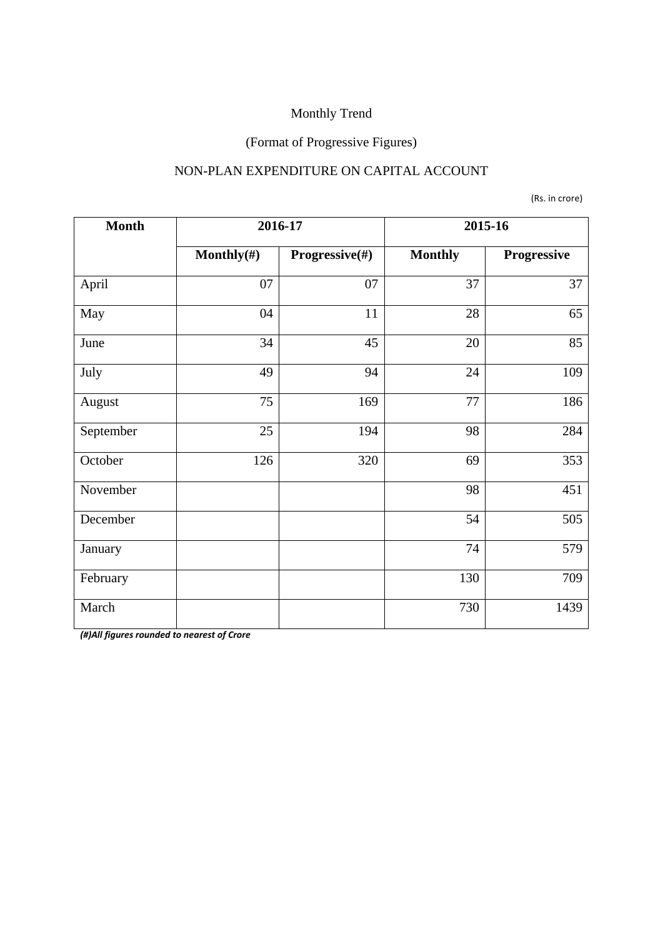#### (Format of Progressive Figures)

#### NON-PLAN EXPENDITURE ON CAPITAL ACCOUNT

(Rs. in crore)

| <b>Month</b> | 2016-17        |                |                | 2015-16     |
|--------------|----------------|----------------|----------------|-------------|
|              | Monthly $(\#)$ | Progressive(#) | <b>Monthly</b> | Progressive |
| April        | 07             | 07             | 37             | 37          |
| May          | 04             | 11             | 28             | 65          |
| June         | 34             | 45             | 20             | 85          |
| July         | 49             | 94             | 24             | 109         |
| August       | 75             | 169            | 77             | 186         |
| September    | 25             | 194            | 98             | 284         |
| October      | 126            | 320            | 69             | 353         |
| November     |                |                | 98             | 451         |
| December     |                |                | 54             | 505         |
| January      |                |                | 74             | 579         |
| February     |                |                | 130            | 709         |
| March        |                |                | 730            | 1439        |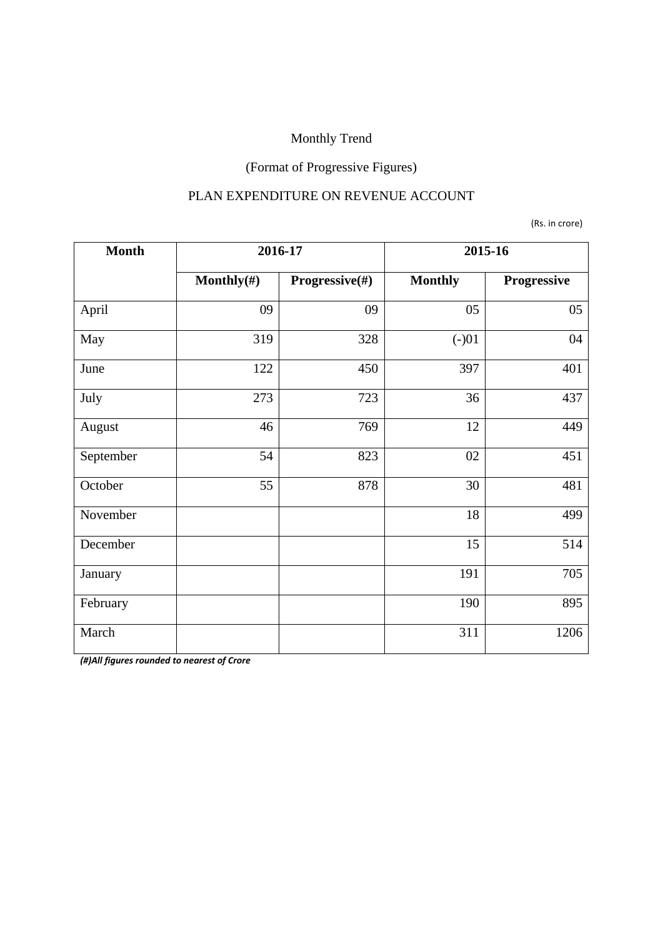# (Format of Progressive Figures)

#### PLAN EXPENDITURE ON REVENUE ACCOUNT

(Rs. in crore)

| <b>Month</b> | 2016-17        |                | 2015-16        |             |
|--------------|----------------|----------------|----------------|-------------|
|              | Monthly $(\#)$ | Progressive(#) | <b>Monthly</b> | Progressive |
| April        | 09             | 09             | 05             | 05          |
| May          | 319            | 328            | $(-)01$        | 04          |
| June         | 122            | 450            | 397            | 401         |
| July         | 273            | 723            | 36             | 437         |
| August       | 46             | 769            | 12             | 449         |
| September    | 54             | 823            | 02             | 451         |
| October      | 55             | 878            | 30             | 481         |
| November     |                |                | 18             | 499         |
| December     |                |                | 15             | 514         |
| January      |                |                | 191            | 705         |
| February     |                |                | 190            | 895         |
| March        |                |                | 311            | 1206        |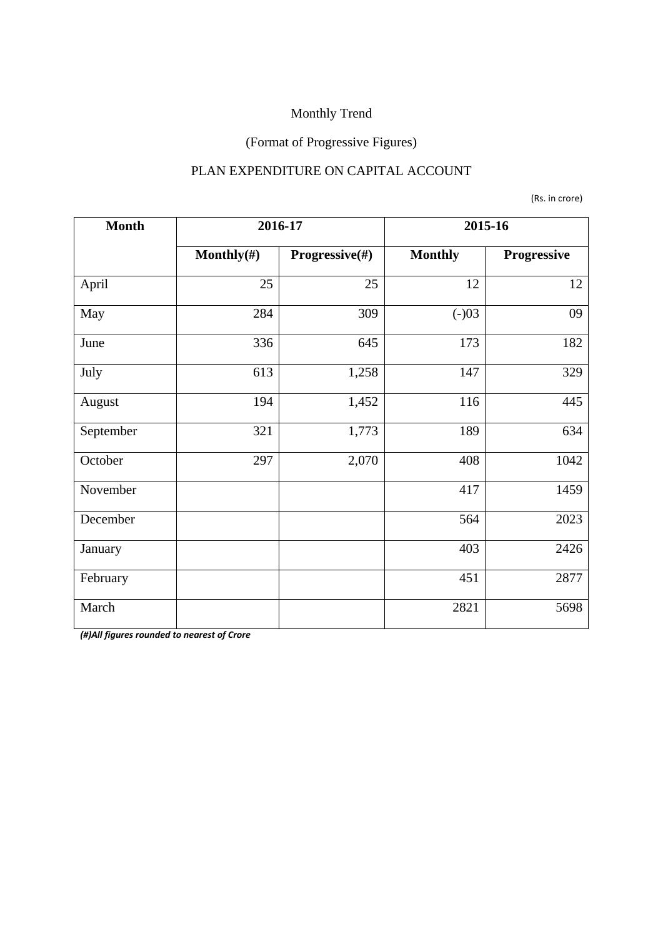## (Format of Progressive Figures)

#### PLAN EXPENDITURE ON CAPITAL ACCOUNT

(Rs. in crore)

| <b>Month</b> | 2016-17        |                |                | 2015-16     |
|--------------|----------------|----------------|----------------|-------------|
|              | Monthly $(\#)$ | Progressive(#) | <b>Monthly</b> | Progressive |
| April        | 25             | 25             | 12             | 12          |
| May          | 284            | 309            | $(-)03$        | 09          |
| June         | 336            | 645            | 173            | 182         |
| July         | 613            | 1,258          | 147            | 329         |
| August       | 194            | 1,452          | 116            | 445         |
| September    | 321            | 1,773          | 189            | 634         |
| October      | 297            | 2,070          | 408            | 1042        |
| November     |                |                | 417            | 1459        |
| December     |                |                | 564            | 2023        |
| January      |                |                | 403            | 2426        |
| February     |                |                | 451            | 2877        |
| March        |                |                | 2821           | 5698        |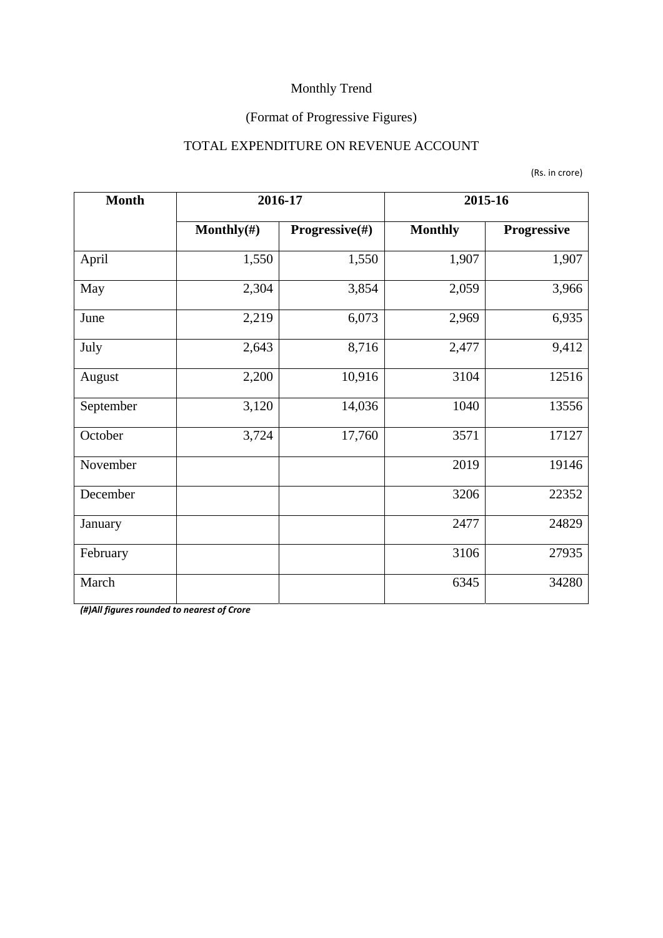## (Format of Progressive Figures)

#### TOTAL EXPENDITURE ON REVENUE ACCOUNT

| <b>Month</b> | 2016-17        |                | 2015-16        |             |  |
|--------------|----------------|----------------|----------------|-------------|--|
|              | Monthly $(\#)$ | Progressive(#) | <b>Monthly</b> | Progressive |  |
| April        | 1,550          | 1,550          | 1,907          | 1,907       |  |
| May<br>2,304 |                | 3,854          | 2,059          | 3,966       |  |
| June         | 2,219          | 6,073          | 2,969          | 6,935       |  |
| July         | 2,643          | 8,716          | 2,477          | 9,412       |  |
| August       | 2,200          |                | 3104           | 12516       |  |
| September    | 3,120          | 14,036         | 1040           | 13556       |  |
| October      | 3,724          | 17,760         | 3571           | 17127       |  |
| November     |                |                | 2019           | 19146       |  |
| December     |                |                | 3206           | 22352       |  |
| January      |                |                | 2477           | 24829       |  |
| February     |                |                | 3106           | 27935       |  |
| March        |                |                | 6345           | 34280       |  |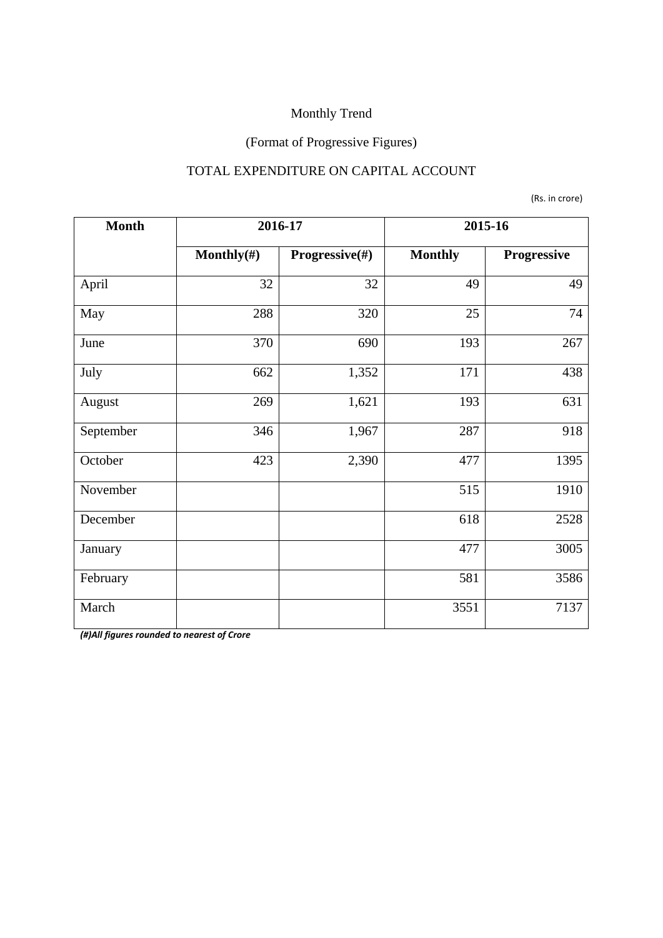## (Format of Progressive Figures)

#### TOTAL EXPENDITURE ON CAPITAL ACCOUNT

(Rs. in crore)

| <b>Month</b> |                | 2016-17        | 2015-16        |             |  |
|--------------|----------------|----------------|----------------|-------------|--|
|              | Monthly $(\#)$ | Progressive(#) | <b>Monthly</b> | Progressive |  |
| April        | 32             | 32             | 49             | 49          |  |
| May          | 288            | 320            | 25             | 74          |  |
| June         | 370            | 690            | 193            | 267         |  |
| July         | 662            | 1,352          | 171            | 438         |  |
| August       | 269            | 1,621          | 193            | 631         |  |
| September    | 346            | 1,967          | 287            | 918         |  |
| October      | 423            | 2,390          | 477            | 1395        |  |
| November     |                |                | 515            | 1910        |  |
| December     |                |                | 618            | 2528        |  |
| January      |                |                | 477            | 3005        |  |
| February     |                |                | 581            | 3586        |  |
| March        |                |                | 3551           | 7137        |  |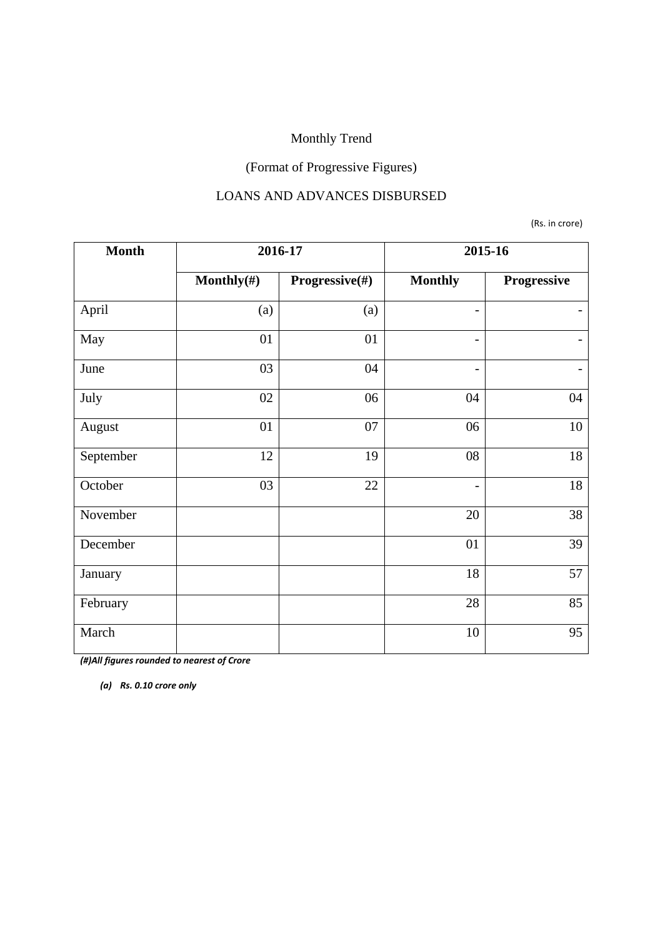## (Format of Progressive Figures)

#### LOANS AND ADVANCES DISBURSED

(Rs. in crore)

| <b>Month</b> | 2016-17        |                | 2015-16                  |                          |  |
|--------------|----------------|----------------|--------------------------|--------------------------|--|
|              | Monthly $(\#)$ | Progressive(#) | <b>Monthly</b>           | Progressive              |  |
| April        | (a)            | (a)            | $\overline{\phantom{0}}$ |                          |  |
| May          | 01             | 01             | $\overline{\phantom{0}}$ | $\overline{\phantom{a}}$ |  |
| June         | 03             | 04             | $\overline{\phantom{0}}$ |                          |  |
| July         | 02             | 06             | 04                       | 04                       |  |
| August       | 01             | 07             | 06                       | 10                       |  |
| September    | 12             | 19             | 08                       | 18                       |  |
| October      | 03             | 22             | $\overline{\phantom{a}}$ | 18                       |  |
| November     |                |                | 20                       | 38                       |  |
| December     |                |                | 01                       | 39                       |  |
| January      |                |                | 18                       | 57                       |  |
| February     |                |                | 28                       | 85                       |  |
| March        |                |                | $10\,$                   | 95                       |  |

*(#)All figures rounded to nearest of Crore* 

*(a) Rs. 0.10 crore only*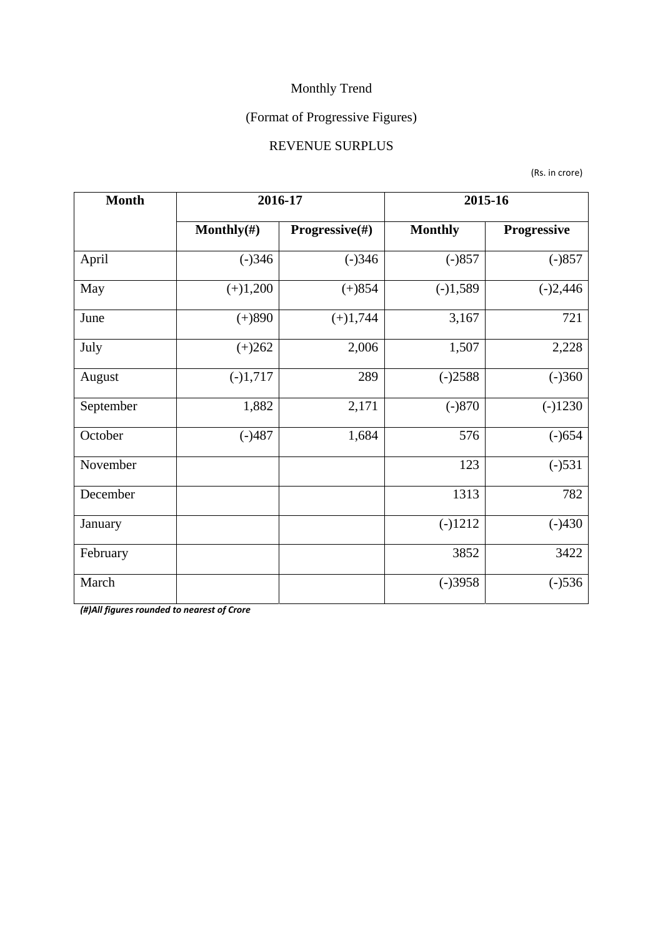## (Format of Progressive Figures)

#### REVENUE SURPLUS

(Rs. in crore)

| <b>Month</b>      | 2016-17           |                | 2015-16        |             |  |
|-------------------|-------------------|----------------|----------------|-------------|--|
|                   | Monthly $(\#)$    | Progressive(#) | <b>Monthly</b> | Progressive |  |
| April             | $(-)346$          | $(-)346$       | $(-)857$       | $(-)857$    |  |
| May<br>$(+)1,200$ |                   | $(+)854$       | $(-)1,589$     | $(-)2,446$  |  |
| June              | $(+)890$          |                | 3,167          | 721         |  |
| July              | $(+)262$          | 2,006          | 1,507          | 2,228       |  |
| August            | 289<br>$(-)1,717$ |                | $(-)2588$      | $(-)360$    |  |
| September         | 1,882             | 2,171          | $(-)870$       | $(-)1230$   |  |
| October           | $(-)487$          | 1,684          | 576            | $(-)654$    |  |
| November          |                   |                | 123            | $(-)531$    |  |
| December          |                   |                | 1313           | 782         |  |
| January           |                   |                | $(-)1212$      | $(-)430$    |  |
| February          |                   |                | 3852           | 3422        |  |
| March             |                   |                | $(-)3958$      | $(-)536$    |  |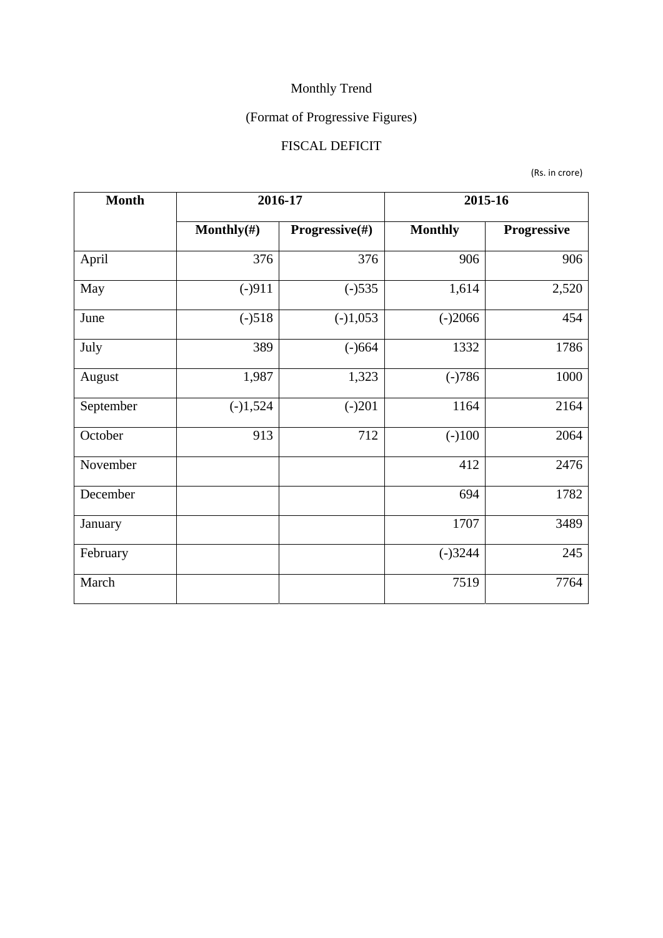# (Format of Progressive Figures)

## FISCAL DEFICIT

(Rs. in crore)

| <b>Month</b>    | 2016-17        |                | 2015-16        |             |  |
|-----------------|----------------|----------------|----------------|-------------|--|
|                 | Monthly $(\#)$ | Progressive(#) | <b>Monthly</b> | Progressive |  |
| April           | 376            | 376            | 906            | 906         |  |
| $(-)911$<br>May |                | $(-)535$       | 1,614          | 2,520       |  |
| June            | $(-)518$       | $(-)1,053$     | $(-)2066$      | 454         |  |
| July            | 389            |                | 1332           | 1786        |  |
| August          | 1,987          | 1,323          | $(-)786$       | 1000        |  |
| September       | $(-)1,524$     | $(-)201$       | 1164           | 2164        |  |
| October         | 913            | 712            | $(-)100$       | 2064        |  |
| November        |                |                | 412            | 2476        |  |
| December        |                |                | 694            | 1782        |  |
| January         |                |                | 1707           | 3489        |  |
| February        |                |                | $(-)3244$      | 245         |  |
| March           |                |                | 7519           | 7764        |  |